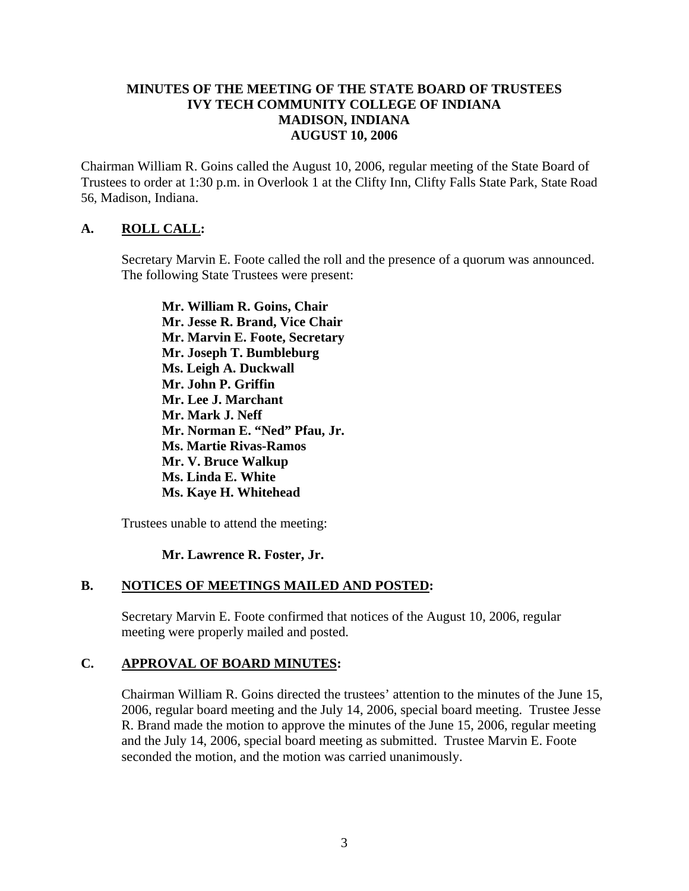#### **MINUTES OF THE MEETING OF THE STATE BOARD OF TRUSTEES IVY TECH COMMUNITY COLLEGE OF INDIANA MADISON, INDIANA AUGUST 10, 2006**

Chairman William R. Goins called the August 10, 2006, regular meeting of the State Board of Trustees to order at 1:30 p.m. in Overlook 1 at the Clifty Inn, Clifty Falls State Park, State Road 56, Madison, Indiana.

### **A. ROLL CALL:**

Secretary Marvin E. Foote called the roll and the presence of a quorum was announced. The following State Trustees were present:

**Mr. William R. Goins, Chair Mr. Jesse R. Brand, Vice Chair Mr. Marvin E. Foote, Secretary Mr. Joseph T. Bumbleburg Ms. Leigh A. Duckwall Mr. John P. Griffin Mr. Lee J. Marchant Mr. Mark J. Neff Mr. Norman E. "Ned" Pfau, Jr. Ms. Martie Rivas-Ramos Mr. V. Bruce Walkup Ms. Linda E. White Ms. Kaye H. Whitehead** 

Trustees unable to attend the meeting:

#### **Mr. Lawrence R. Foster, Jr.**

#### **B. NOTICES OF MEETINGS MAILED AND POSTED:**

Secretary Marvin E. Foote confirmed that notices of the August 10, 2006, regular meeting were properly mailed and posted.

#### **C. APPROVAL OF BOARD MINUTES:**

Chairman William R. Goins directed the trustees' attention to the minutes of the June 15, 2006, regular board meeting and the July 14, 2006, special board meeting. Trustee Jesse R. Brand made the motion to approve the minutes of the June 15, 2006, regular meeting and the July 14, 2006, special board meeting as submitted. Trustee Marvin E. Foote seconded the motion, and the motion was carried unanimously.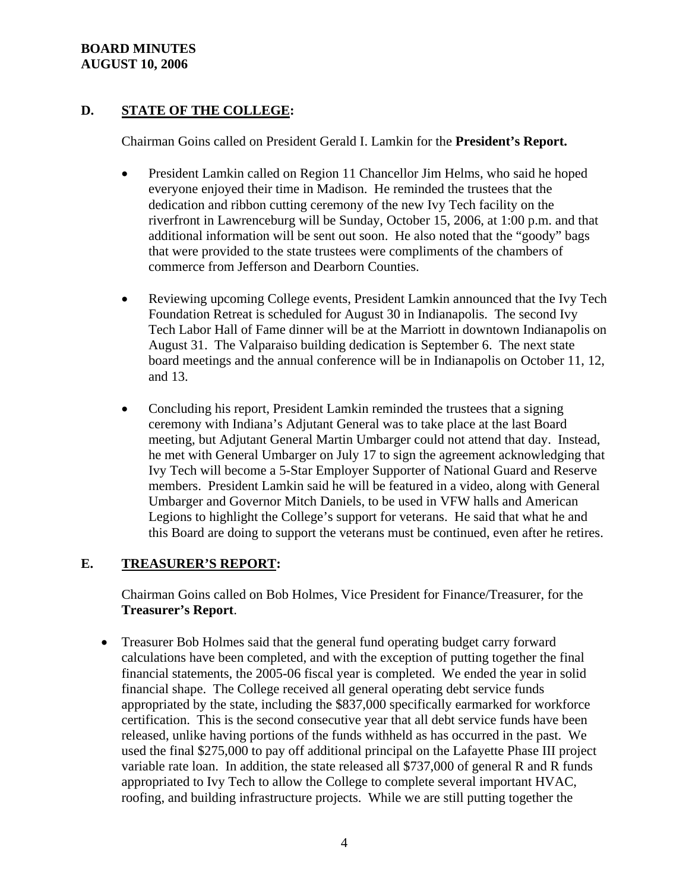### **BOARD MINUTES AUGUST 10, 2006**

# **D. STATE OF THE COLLEGE:**

Chairman Goins called on President Gerald I. Lamkin for the **President's Report.**

- President Lamkin called on Region 11 Chancellor Jim Helms, who said he hoped everyone enjoyed their time in Madison. He reminded the trustees that the dedication and ribbon cutting ceremony of the new Ivy Tech facility on the riverfront in Lawrenceburg will be Sunday, October 15, 2006, at 1:00 p.m. and that additional information will be sent out soon. He also noted that the "goody" bags that were provided to the state trustees were compliments of the chambers of commerce from Jefferson and Dearborn Counties.
- Reviewing upcoming College events, President Lamkin announced that the Ivy Tech Foundation Retreat is scheduled for August 30 in Indianapolis. The second Ivy Tech Labor Hall of Fame dinner will be at the Marriott in downtown Indianapolis on August 31. The Valparaiso building dedication is September 6. The next state board meetings and the annual conference will be in Indianapolis on October 11, 12, and 13.
- Concluding his report, President Lamkin reminded the trustees that a signing ceremony with Indiana's Adjutant General was to take place at the last Board meeting, but Adjutant General Martin Umbarger could not attend that day. Instead, he met with General Umbarger on July 17 to sign the agreement acknowledging that Ivy Tech will become a 5-Star Employer Supporter of National Guard and Reserve members. President Lamkin said he will be featured in a video, along with General Umbarger and Governor Mitch Daniels, to be used in VFW halls and American Legions to highlight the College's support for veterans. He said that what he and this Board are doing to support the veterans must be continued, even after he retires.

### **E. TREASURER'S REPORT:**

Chairman Goins called on Bob Holmes, Vice President for Finance/Treasurer, for the **Treasurer's Report**.

• Treasurer Bob Holmes said that the general fund operating budget carry forward calculations have been completed, and with the exception of putting together the final financial statements, the 2005-06 fiscal year is completed. We ended the year in solid financial shape. The College received all general operating debt service funds appropriated by the state, including the \$837,000 specifically earmarked for workforce certification. This is the second consecutive year that all debt service funds have been released, unlike having portions of the funds withheld as has occurred in the past. We used the final \$275,000 to pay off additional principal on the Lafayette Phase III project variable rate loan. In addition, the state released all \$737,000 of general R and R funds appropriated to Ivy Tech to allow the College to complete several important HVAC, roofing, and building infrastructure projects. While we are still putting together the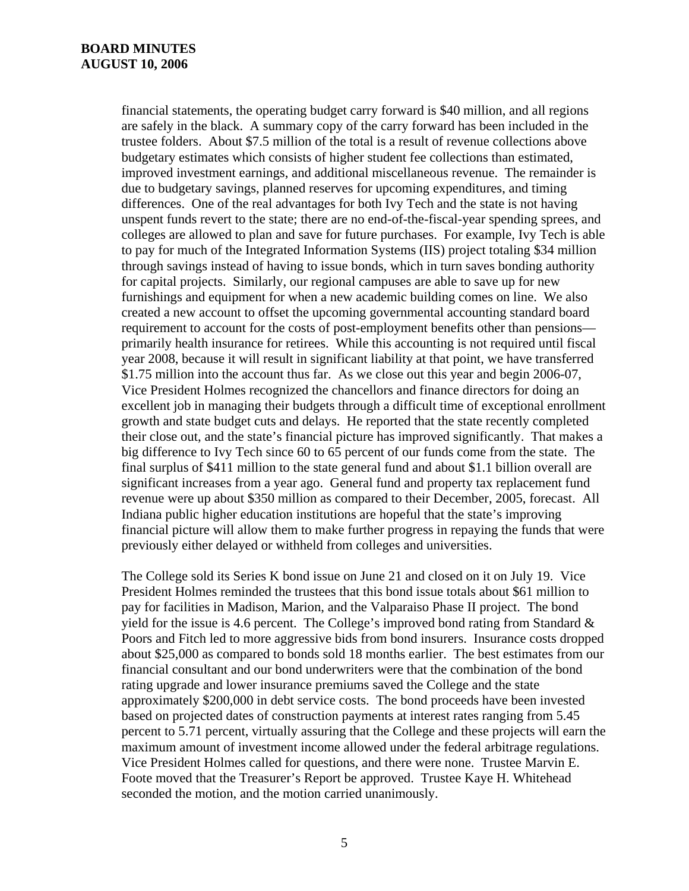#### **BOARD MINUTES AUGUST 10, 2006**

financial statements, the operating budget carry forward is \$40 million, and all regions are safely in the black. A summary copy of the carry forward has been included in the trustee folders. About \$7.5 million of the total is a result of revenue collections above budgetary estimates which consists of higher student fee collections than estimated, improved investment earnings, and additional miscellaneous revenue. The remainder is due to budgetary savings, planned reserves for upcoming expenditures, and timing differences. One of the real advantages for both Ivy Tech and the state is not having unspent funds revert to the state; there are no end-of-the-fiscal-year spending sprees, and colleges are allowed to plan and save for future purchases. For example, Ivy Tech is able to pay for much of the Integrated Information Systems (IIS) project totaling \$34 million through savings instead of having to issue bonds, which in turn saves bonding authority for capital projects. Similarly, our regional campuses are able to save up for new furnishings and equipment for when a new academic building comes on line. We also created a new account to offset the upcoming governmental accounting standard board requirement to account for the costs of post-employment benefits other than pensions primarily health insurance for retirees. While this accounting is not required until fiscal year 2008, because it will result in significant liability at that point, we have transferred \$1.75 million into the account thus far. As we close out this year and begin 2006-07, Vice President Holmes recognized the chancellors and finance directors for doing an excellent job in managing their budgets through a difficult time of exceptional enrollment growth and state budget cuts and delays. He reported that the state recently completed their close out, and the state's financial picture has improved significantly. That makes a big difference to Ivy Tech since 60 to 65 percent of our funds come from the state. The final surplus of \$411 million to the state general fund and about \$1.1 billion overall are significant increases from a year ago. General fund and property tax replacement fund revenue were up about \$350 million as compared to their December, 2005, forecast. All Indiana public higher education institutions are hopeful that the state's improving financial picture will allow them to make further progress in repaying the funds that were previously either delayed or withheld from colleges and universities.

The College sold its Series K bond issue on June 21 and closed on it on July 19. Vice President Holmes reminded the trustees that this bond issue totals about \$61 million to pay for facilities in Madison, Marion, and the Valparaiso Phase II project. The bond yield for the issue is 4.6 percent. The College's improved bond rating from Standard  $\&$ Poors and Fitch led to more aggressive bids from bond insurers. Insurance costs dropped about \$25,000 as compared to bonds sold 18 months earlier. The best estimates from our financial consultant and our bond underwriters were that the combination of the bond rating upgrade and lower insurance premiums saved the College and the state approximately \$200,000 in debt service costs. The bond proceeds have been invested based on projected dates of construction payments at interest rates ranging from 5.45 percent to 5.71 percent, virtually assuring that the College and these projects will earn the maximum amount of investment income allowed under the federal arbitrage regulations. Vice President Holmes called for questions, and there were none. Trustee Marvin E. Foote moved that the Treasurer's Report be approved. Trustee Kaye H. Whitehead seconded the motion, and the motion carried unanimously.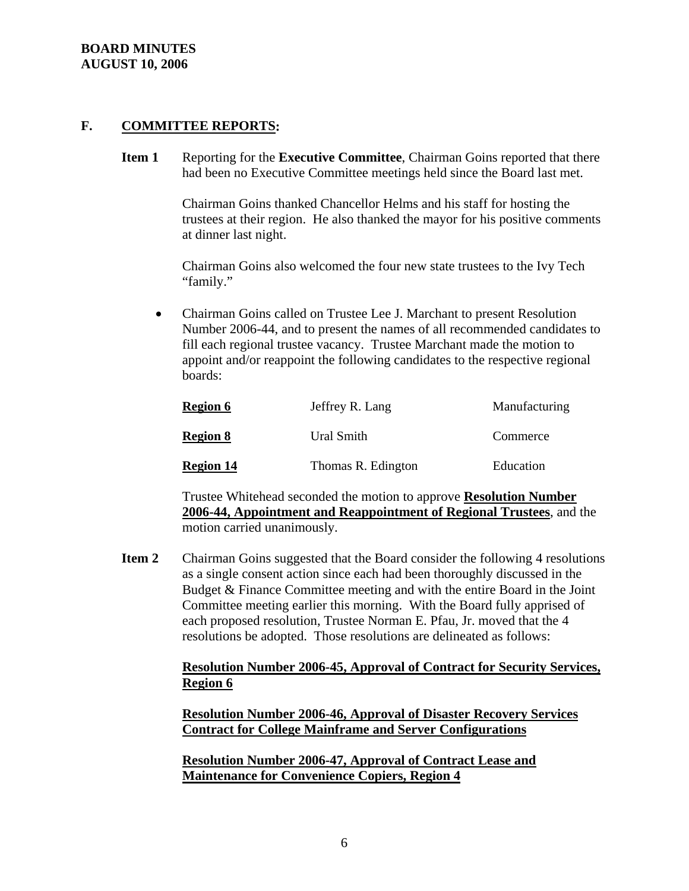#### **BOARD MINUTES AUGUST 10, 2006**

#### **F. COMMITTEE REPORTS:**

**Item 1** Reporting for the **Executive Committee**, Chairman Goins reported that there had been no Executive Committee meetings held since the Board last met.

> Chairman Goins thanked Chancellor Helms and his staff for hosting the trustees at their region. He also thanked the mayor for his positive comments at dinner last night.

Chairman Goins also welcomed the four new state trustees to the Ivy Tech "family."

• Chairman Goins called on Trustee Lee J. Marchant to present Resolution Number 2006-44, and to present the names of all recommended candidates to fill each regional trustee vacancy. Trustee Marchant made the motion to appoint and/or reappoint the following candidates to the respective regional boards:

| <b>Region 6</b>  | Jeffrey R. Lang    | Manufacturing |
|------------------|--------------------|---------------|
| <b>Region 8</b>  | Ural Smith         | Commerce      |
| <b>Region 14</b> | Thomas R. Edington | Education     |

Trustee Whitehead seconded the motion to approve **Resolution Number 2006-44, Appointment and Reappointment of Regional Trustees**, and the motion carried unanimously.

**Item 2** Chairman Goins suggested that the Board consider the following 4 resolutions as a single consent action since each had been thoroughly discussed in the Budget & Finance Committee meeting and with the entire Board in the Joint Committee meeting earlier this morning. With the Board fully apprised of each proposed resolution, Trustee Norman E. Pfau, Jr. moved that the 4 resolutions be adopted. Those resolutions are delineated as follows:

### **Resolution Number 2006-45, Approval of Contract for Security Services, Region 6**

**Resolution Number 2006-46, Approval of Disaster Recovery Services Contract for College Mainframe and Server Configurations**

**Resolution Number 2006-47, Approval of Contract Lease and Maintenance for Convenience Copiers, Region 4**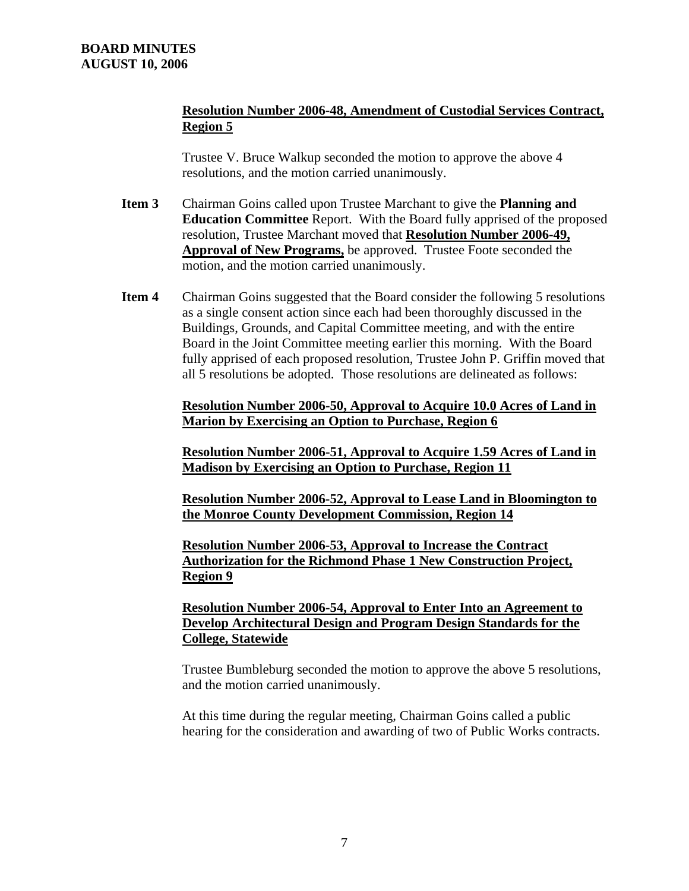### **Resolution Number 2006-48, Amendment of Custodial Services Contract, Region 5**

Trustee V. Bruce Walkup seconded the motion to approve the above 4 resolutions, and the motion carried unanimously.

- **Item 3** Chairman Goins called upon Trustee Marchant to give the **Planning and Education Committee** Report. With the Board fully apprised of the proposed resolution, Trustee Marchant moved that **Resolution Number 2006-49, Approval of New Programs,** be approved. Trustee Foote seconded the motion, and the motion carried unanimously.
- **Item 4** Chairman Goins suggested that the Board consider the following 5 resolutions as a single consent action since each had been thoroughly discussed in the Buildings, Grounds, and Capital Committee meeting, and with the entire Board in the Joint Committee meeting earlier this morning. With the Board fully apprised of each proposed resolution, Trustee John P. Griffin moved that all 5 resolutions be adopted. Those resolutions are delineated as follows:

**Resolution Number 2006-50, Approval to Acquire 10.0 Acres of Land in Marion by Exercising an Option to Purchase, Region 6**

**Resolution Number 2006-51, Approval to Acquire 1.59 Acres of Land in Madison by Exercising an Option to Purchase, Region 11**

**Resolution Number 2006-52, Approval to Lease Land in Bloomington to the Monroe County Development Commission, Region 14**

**Resolution Number 2006-53, Approval to Increase the Contract Authorization for the Richmond Phase 1 New Construction Project, Region 9**

**Resolution Number 2006-54, Approval to Enter Into an Agreement to Develop Architectural Design and Program Design Standards for the College, Statewide**

Trustee Bumbleburg seconded the motion to approve the above 5 resolutions, and the motion carried unanimously.

At this time during the regular meeting, Chairman Goins called a public hearing for the consideration and awarding of two of Public Works contracts.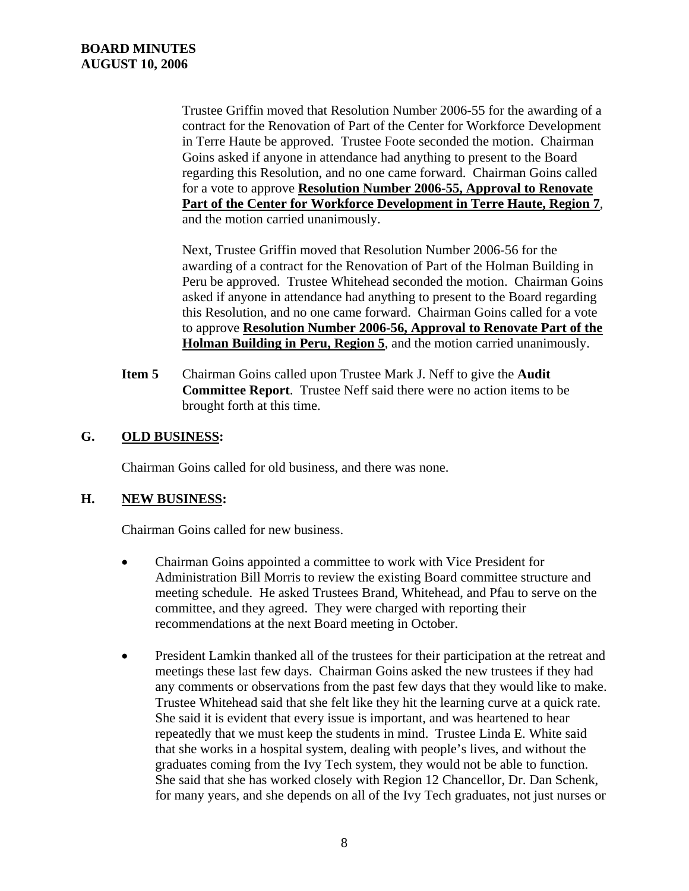Trustee Griffin moved that Resolution Number 2006-55 for the awarding of a contract for the Renovation of Part of the Center for Workforce Development in Terre Haute be approved. Trustee Foote seconded the motion. Chairman Goins asked if anyone in attendance had anything to present to the Board regarding this Resolution, and no one came forward. Chairman Goins called for a vote to approve **Resolution Number 2006-55, Approval to Renovate Part of the Center for Workforce Development in Terre Haute, Region 7**, and the motion carried unanimously.

Next, Trustee Griffin moved that Resolution Number 2006-56 for the awarding of a contract for the Renovation of Part of the Holman Building in Peru be approved. Trustee Whitehead seconded the motion. Chairman Goins asked if anyone in attendance had anything to present to the Board regarding this Resolution, and no one came forward. Chairman Goins called for a vote to approve **Resolution Number 2006-56, Approval to Renovate Part of the Holman Building in Peru, Region 5**, and the motion carried unanimously.

**Item 5** Chairman Goins called upon Trustee Mark J. Neff to give the **Audit Committee Report**. Trustee Neff said there were no action items to be brought forth at this time.

### **G. OLD BUSINESS:**

Chairman Goins called for old business, and there was none.

### **H. NEW BUSINESS:**

Chairman Goins called for new business.

- Chairman Goins appointed a committee to work with Vice President for Administration Bill Morris to review the existing Board committee structure and meeting schedule. He asked Trustees Brand, Whitehead, and Pfau to serve on the committee, and they agreed. They were charged with reporting their recommendations at the next Board meeting in October.
- President Lamkin thanked all of the trustees for their participation at the retreat and meetings these last few days. Chairman Goins asked the new trustees if they had any comments or observations from the past few days that they would like to make. Trustee Whitehead said that she felt like they hit the learning curve at a quick rate. She said it is evident that every issue is important, and was heartened to hear repeatedly that we must keep the students in mind. Trustee Linda E. White said that she works in a hospital system, dealing with people's lives, and without the graduates coming from the Ivy Tech system, they would not be able to function. She said that she has worked closely with Region 12 Chancellor, Dr. Dan Schenk, for many years, and she depends on all of the Ivy Tech graduates, not just nurses or